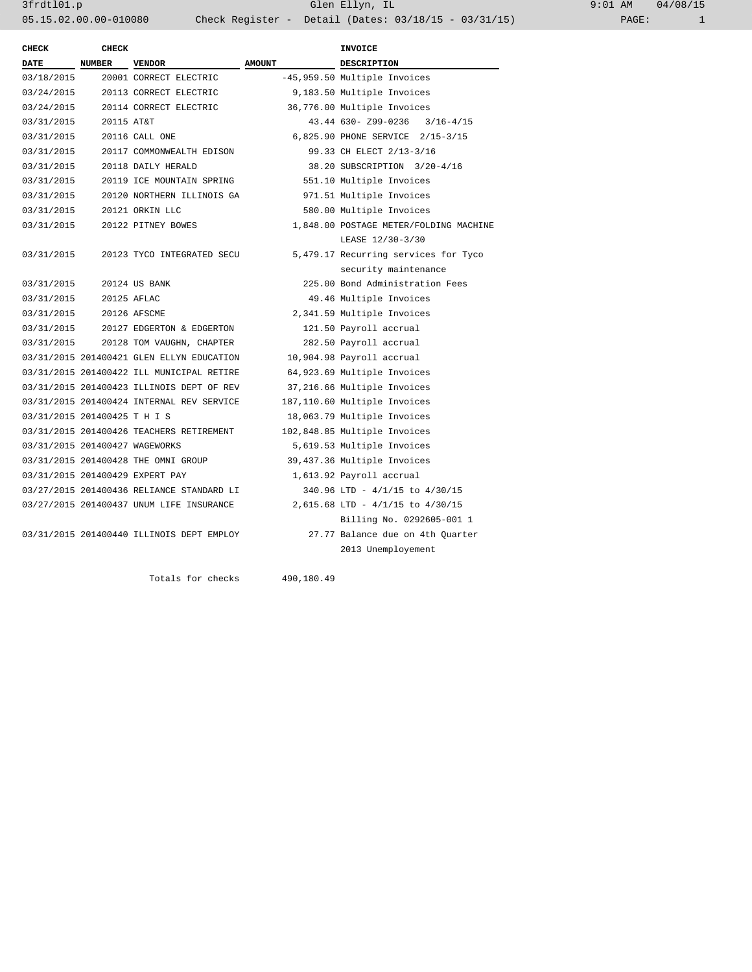3frdtl01.p Glen Ellyn, IL 9:01 AM 04/08/15 05.15.02.00.00-010080 Check Register - Detail (Dates: 03/18/15 - 03/31/15)

| <b>CHECK</b>                   | CHECK      |                                           |               | <b>INVOICE</b>                         |  |
|--------------------------------|------------|-------------------------------------------|---------------|----------------------------------------|--|
| <b>DATE</b>                    | NUMBER     | <b>VENDOR</b>                             | <b>AMOUNT</b> | DESCRIPTION                            |  |
| 03/18/2015                     |            | 20001 CORRECT ELECTRIC                    |               | -45,959.50 Multiple Invoices           |  |
| 03/24/2015                     |            | 20113 CORRECT ELECTRIC                    |               | 9,183.50 Multiple Invoices             |  |
| 03/24/2015                     |            | 20114 CORRECT ELECTRIC                    |               | 36,776.00 Multiple Invoices            |  |
| 03/31/2015                     | 20115 AT&T |                                           |               | 43.44 630- Z99-0236<br>$3/16 - 4/15$   |  |
| 03/31/2015                     |            | 20116 CALL ONE                            |               | 6,825.90 PHONE SERVICE 2/15-3/15       |  |
| 03/31/2015                     |            | 20117 COMMONWEALTH EDISON                 |               | 99.33 CH ELECT 2/13-3/16               |  |
| 03/31/2015                     |            | 20118 DAILY HERALD                        |               | 38.20 SUBSCRIPTION 3/20-4/16           |  |
| 03/31/2015                     |            | 20119 ICE MOUNTAIN SPRING                 |               | 551.10 Multiple Invoices               |  |
| 03/31/2015                     |            | 20120 NORTHERN ILLINOIS GA                |               | 971.51 Multiple Invoices               |  |
| 03/31/2015                     |            | 20121 ORKIN LLC                           |               | 580.00 Multiple Invoices               |  |
| 03/31/2015                     |            | 20122 PITNEY BOWES                        |               | 1,848.00 POSTAGE METER/FOLDING MACHINE |  |
|                                |            |                                           |               | LEASE 12/30-3/30                       |  |
| 03/31/2015                     |            | 20123 TYCO INTEGRATED SECU                |               | 5,479.17 Recurring services for Tyco   |  |
|                                |            |                                           |               | security maintenance                   |  |
| 03/31/2015                     |            | 20124 US BANK                             |               | 225.00 Bond Administration Fees        |  |
| 03/31/2015                     |            | 20125 AFLAC                               |               | 49.46 Multiple Invoices                |  |
| 03/31/2015                     |            | 20126 AFSCME                              |               | 2,341.59 Multiple Invoices             |  |
| 03/31/2015                     |            | 20127 EDGERTON & EDGERTON                 |               | 121.50 Payroll accrual                 |  |
| 03/31/2015                     |            | 20128 TOM VAUGHN, CHAPTER                 |               | 282.50 Payroll accrual                 |  |
|                                |            | 03/31/2015 201400421 GLEN ELLYN EDUCATION |               | 10,904.98 Payroll accrual              |  |
|                                |            | 03/31/2015 201400422 ILL MUNICIPAL RETIRE |               | 64,923.69 Multiple Invoices            |  |
|                                |            | 03/31/2015 201400423 ILLINOIS DEPT OF REV |               | 37,216.66 Multiple Invoices            |  |
|                                |            | 03/31/2015 201400424 INTERNAL REV SERVICE |               | 187,110.60 Multiple Invoices           |  |
| 03/31/2015 201400425 T H I S   |            |                                           |               | 18,063.79 Multiple Invoices            |  |
|                                |            | 03/31/2015 201400426 TEACHERS RETIREMENT  |               | 102,848.85 Multiple Invoices           |  |
| 03/31/2015 201400427 WAGEWORKS |            |                                           |               | 5,619.53 Multiple Invoices             |  |
|                                |            | 03/31/2015 201400428 THE OMNI GROUP       |               | 39,437.36 Multiple Invoices            |  |
|                                |            | 03/31/2015 201400429 EXPERT PAY           |               | 1,613.92 Payroll accrual               |  |
|                                |            | 03/27/2015 201400436 RELIANCE STANDARD LI |               | 340.96 LTD - 4/1/15 to 4/30/15         |  |
|                                |            | 03/27/2015 201400437 UNUM LIFE INSURANCE  |               | 2,615.68 LTD - 4/1/15 to 4/30/15       |  |
|                                |            |                                           |               | Billing No. 0292605-001 1              |  |
|                                |            | 03/31/2015 201400440 ILLINOIS DEPT EMPLOY |               | 27.77 Balance due on 4th Ouarter       |  |
|                                |            |                                           |               | 2013 Unemployement                     |  |
|                                |            |                                           |               |                                        |  |

Totals for checks 490,180.49